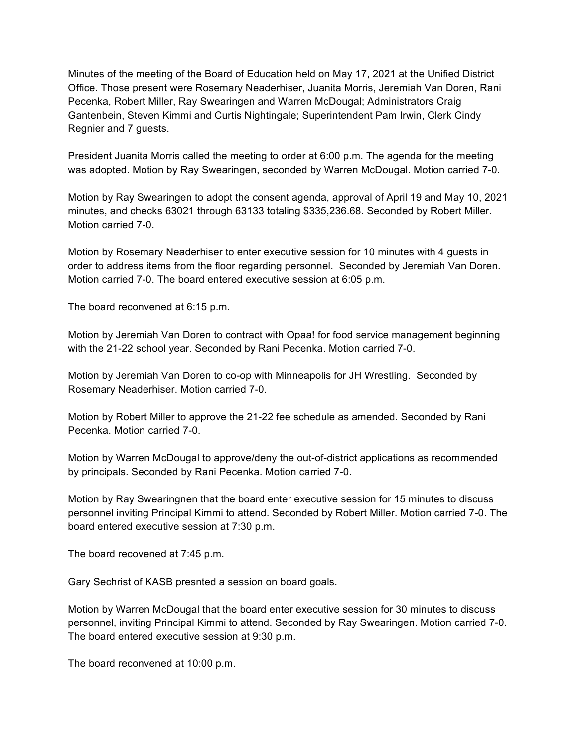Minutes of the meeting of the Board of Education held on May 17, 2021 at the Unified District Office. Those present were Rosemary Neaderhiser, Juanita Morris, Jeremiah Van Doren, Rani Pecenka, Robert Miller, Ray Swearingen and Warren McDougal; Administrators Craig Gantenbein, Steven Kimmi and Curtis Nightingale; Superintendent Pam Irwin, Clerk Cindy Regnier and 7 guests.

President Juanita Morris called the meeting to order at 6:00 p.m. The agenda for the meeting was adopted. Motion by Ray Swearingen, seconded by Warren McDougal. Motion carried 7-0.

Motion by Ray Swearingen to adopt the consent agenda, approval of April 19 and May 10, 2021 minutes, and checks 63021 through 63133 totaling \$335,236.68. Seconded by Robert Miller. Motion carried 7-0.

Motion by Rosemary Neaderhiser to enter executive session for 10 minutes with 4 guests in order to address items from the floor regarding personnel. Seconded by Jeremiah Van Doren. Motion carried 7-0. The board entered executive session at 6:05 p.m.

The board reconvened at 6:15 p.m.

Motion by Jeremiah Van Doren to contract with Opaa! for food service management beginning with the 21-22 school year. Seconded by Rani Pecenka. Motion carried 7-0.

Motion by Jeremiah Van Doren to co-op with Minneapolis for JH Wrestling. Seconded by Rosemary Neaderhiser. Motion carried 7-0.

Motion by Robert Miller to approve the 21-22 fee schedule as amended. Seconded by Rani Pecenka. Motion carried 7-0.

Motion by Warren McDougal to approve/deny the out-of-district applications as recommended by principals. Seconded by Rani Pecenka. Motion carried 7-0.

Motion by Ray Swearingnen that the board enter executive session for 15 minutes to discuss personnel inviting Principal Kimmi to attend. Seconded by Robert Miller. Motion carried 7-0. The board entered executive session at 7:30 p.m.

The board recovened at 7:45 p.m.

Gary Sechrist of KASB presnted a session on board goals.

Motion by Warren McDougal that the board enter executive session for 30 minutes to discuss personnel, inviting Principal Kimmi to attend. Seconded by Ray Swearingen. Motion carried 7-0. The board entered executive session at 9:30 p.m.

The board reconvened at 10:00 p.m.